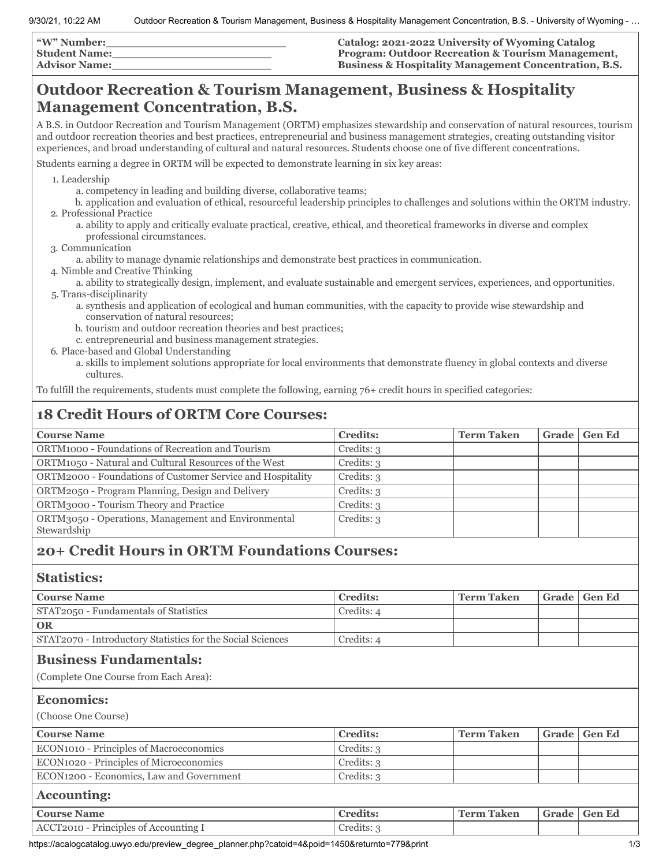| <b>W" Number:</b>    | Catalog: 2021-2022 University of Wyoming Catalog                 |
|----------------------|------------------------------------------------------------------|
| <b>Student Name:</b> | <b>Program: Outdoor Recreation &amp; Tourism Management,</b>     |
| <b>Advisor Name:</b> | <b>Business &amp; Hospitality Management Concentration, B.S.</b> |

## **Outdoor Recreation & Tourism Management, Business & Hospitality Management Concentration, B.S.**

A B.S. in Outdoor Recreation and Tourism Management (ORTM) emphasizes stewardship and conservation of natural resources, tourism and outdoor recreation theories and best practices, entrepreneurial and business management strategies, creating outstanding visitor experiences, and broad understanding of cultural and natural resources. Students choose one of five different concentrations.

Students earning a degree in ORTM will be expected to demonstrate learning in six key areas:

1. Leadership

- a. competency in leading and building diverse, collaborative teams;
- b. application and evaluation of ethical, resourceful leadership principles to challenges and solutions within the ORTM industry. 2. Professional Practice
	- a. ability to apply and critically evaluate practical, creative, ethical, and theoretical frameworks in diverse and complex professional circumstances.
- 3. Communication
	- a. ability to manage dynamic relationships and demonstrate best practices in communication.
- 4. Nimble and Creative Thinking
- a. ability to strategically design, implement, and evaluate sustainable and emergent services, experiences, and opportunities. 5. Trans-disciplinarity
	- a. synthesis and application of ecological and human communities, with the capacity to provide wise stewardship and conservation of natural resources;
	- b. tourism and outdoor recreation theories and best practices;
	- c. entrepreneurial and business management strategies.
- 6. Place-based and Global Understanding
	- a. skills to implement solutions appropriate for local environments that demonstrate fluency in global contexts and diverse cultures.

To fulfill the requirements, students must complete the following, earning 76+ credit hours in specified categories:

## **18 Credit Hours of ORTM Core Courses:**

| <b>Course Name</b>                                                 | <b>Credits:</b> | <b>Term Taken</b> | Grade | <b>Gen Ed</b> |
|--------------------------------------------------------------------|-----------------|-------------------|-------|---------------|
| ORTM1000 - Foundations of Recreation and Tourism                   | Credits: 3      |                   |       |               |
| ORTM1050 - Natural and Cultural Resources of the West              | Credits: 3      |                   |       |               |
| ORTM2000 - Foundations of Customer Service and Hospitality         | Credits: 3      |                   |       |               |
| ORTM2050 - Program Planning, Design and Delivery                   | Credits: 3      |                   |       |               |
| ORTM3000 - Tourism Theory and Practice                             | Credits: 3      |                   |       |               |
| ORTM3050 - Operations, Management and Environmental<br>Stewardship | Credits: 3      |                   |       |               |
|                                                                    |                 |                   |       |               |

## **20+ Credit Hours in ORTM Foundations Courses:**

## **Statistics:**

| <b>Course Name</b>                                                     | <b>Credits:</b> | <b>Term Taken</b> | Grade | <b>Gen Ed</b> |
|------------------------------------------------------------------------|-----------------|-------------------|-------|---------------|
| STAT2050 - Fundamentals of Statistics                                  | Credits: 4      |                   |       |               |
| <b>OR</b>                                                              |                 |                   |       |               |
| STAT2070 - Introductory Statistics for the Social Sciences             | Credits: 4      |                   |       |               |
| <b>Business Fundamentals:</b><br>(Complete One Course from Each Area): |                 |                   |       |               |
| <b>Economics:</b>                                                      |                 |                   |       |               |
| (Choose One Course)                                                    |                 |                   |       |               |
| <b>Course Name</b>                                                     | <b>Credits:</b> | <b>Term Taken</b> | Grade |               |
|                                                                        |                 |                   |       | <b>Gen Ed</b> |
| ECON1010 - Principles of Macroeconomics                                | Credits: 3      |                   |       |               |
| ECON1020 - Principles of Microeconomics                                | Credits: 3      |                   |       |               |
| ECON1200 - Economics, Law and Government                               | Credits: 3      |                   |       |               |
| <b>Accounting:</b>                                                     |                 |                   |       |               |
| <b>Course Name</b>                                                     | <b>Credits:</b> | <b>Term Taken</b> | Grade | <b>Gen Ed</b> |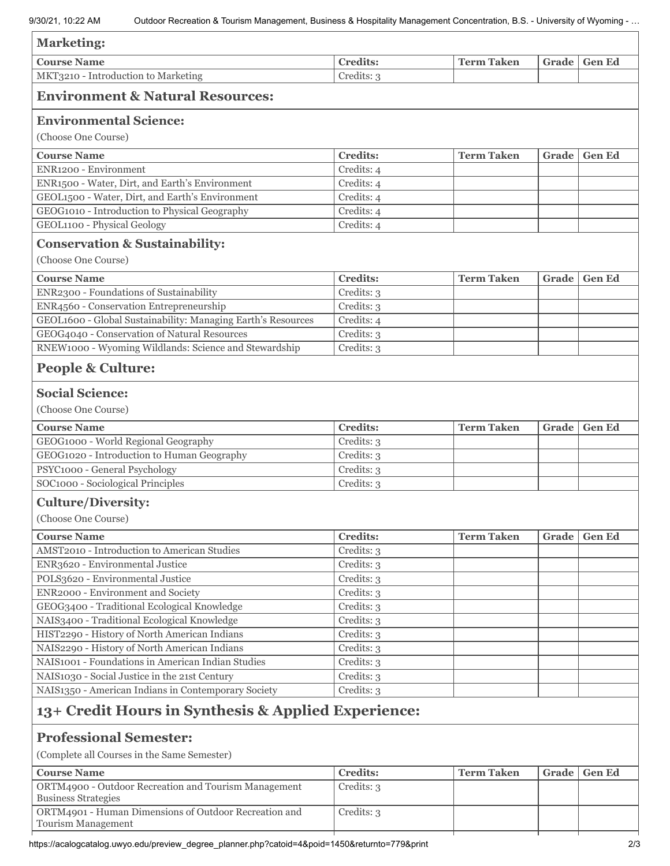| <b>Marketing:</b>                                                                  |                 |                   |       |                |
|------------------------------------------------------------------------------------|-----------------|-------------------|-------|----------------|
| <b>Course Name</b>                                                                 | <b>Credits:</b> | <b>Term Taken</b> | Grade | <b>Gen Ed</b>  |
| MKT3210 - Introduction to Marketing                                                | Credits: 3      |                   |       |                |
| <b>Environment &amp; Natural Resources:</b>                                        |                 |                   |       |                |
| <b>Environmental Science:</b>                                                      |                 |                   |       |                |
| (Choose One Course)                                                                |                 |                   |       |                |
| <b>Course Name</b>                                                                 | <b>Credits:</b> | <b>Term Taken</b> | Grade | <b>Gen Ed</b>  |
| ENR1200 - Environment                                                              | Credits: 4      |                   |       |                |
| ENR1500 - Water, Dirt, and Earth's Environment                                     | Credits: 4      |                   |       |                |
| GEOL1500 - Water, Dirt, and Earth's Environment                                    | Credits: 4      |                   |       |                |
| GEOG1010 - Introduction to Physical Geography                                      | Credits: 4      |                   |       |                |
| GEOL1100 - Physical Geology                                                        | Credits: 4      |                   |       |                |
| <b>Conservation &amp; Sustainability:</b>                                          |                 |                   |       |                |
| (Choose One Course)                                                                |                 |                   |       |                |
| <b>Course Name</b>                                                                 | <b>Credits:</b> | <b>Term Taken</b> | Grade | <b>Gen Ed</b>  |
| ENR2300 - Foundations of Sustainability                                            | Credits: 3      |                   |       |                |
| ENR4560 - Conservation Entrepreneurship                                            | Credits: 3      |                   |       |                |
| GEOL1600 - Global Sustainability: Managing Earth's Resources                       | Credits: 4      |                   |       |                |
| GEOG4040 - Conservation of Natural Resources                                       | Credits: 3      |                   |       |                |
| RNEW1000 - Wyoming Wildlands: Science and Stewardship                              | Credits: 3      |                   |       |                |
| <b>People &amp; Culture:</b>                                                       |                 |                   |       |                |
|                                                                                    |                 |                   |       |                |
| <b>Social Science:</b>                                                             |                 |                   |       |                |
| (Choose One Course)                                                                |                 |                   |       |                |
| <b>Course Name</b>                                                                 | <b>Credits:</b> | <b>Term Taken</b> | Grade | <b>Gen Ed</b>  |
| GEOG1000 - World Regional Geography                                                | Credits: 3      |                   |       |                |
| GEOG1020 - Introduction to Human Geography                                         | Credits: 3      |                   |       |                |
| PSYC1000 - General Psychology                                                      | Credits: 3      |                   |       |                |
| SOC1000 - Sociological Principles                                                  | Credits: 3      |                   |       |                |
| <b>Culture/Diversity:</b>                                                          |                 |                   |       |                |
| (Choose One Course)                                                                |                 |                   |       |                |
| <b>Course Name</b>                                                                 | <b>Credits:</b> | <b>Term Taken</b> |       | Grade   Gen Ed |
| AMST2010 - Introduction to American Studies                                        | Credits: 3      |                   |       |                |
| ENR3620 - Environmental Justice                                                    | Credits: 3      |                   |       |                |
| POLS3620 - Environmental Justice                                                   | Credits: 3      |                   |       |                |
| ENR2000 - Environment and Society                                                  | Credits: 3      |                   |       |                |
| GEOG3400 - Traditional Ecological Knowledge                                        | Credits: 3      |                   |       |                |
| NAIS3400 - Traditional Ecological Knowledge                                        | Credits: 3      |                   |       |                |
| HIST2290 - History of North American Indians                                       | Credits: 3      |                   |       |                |
| NAIS2290 - History of North American Indians                                       | Credits: 3      |                   |       |                |
| NAIS1001 - Foundations in American Indian Studies                                  | Credits: 3      |                   |       |                |
| NAIS1030 - Social Justice in the 21st Century                                      | Credits: 3      |                   |       |                |
| NAIS1350 - American Indians in Contemporary Society                                | Credits: 3      |                   |       |                |
| 13+ Credit Hours in Synthesis & Applied Experience:                                |                 |                   |       |                |
| <b>Professional Semester:</b>                                                      |                 |                   |       |                |
| (Complete all Courses in the Same Semester)                                        |                 |                   |       |                |
| <b>Course Name</b>                                                                 | <b>Credits:</b> | <b>Term Taken</b> | Grade | <b>Gen Ed</b>  |
| ORTM4900 - Outdoor Recreation and Tourism Management<br><b>Business Strategies</b> | Credits: 3      |                   |       |                |
| ORTM4901 - Human Dimensions of Outdoor Recreation and                              | Credits: 3      |                   |       |                |